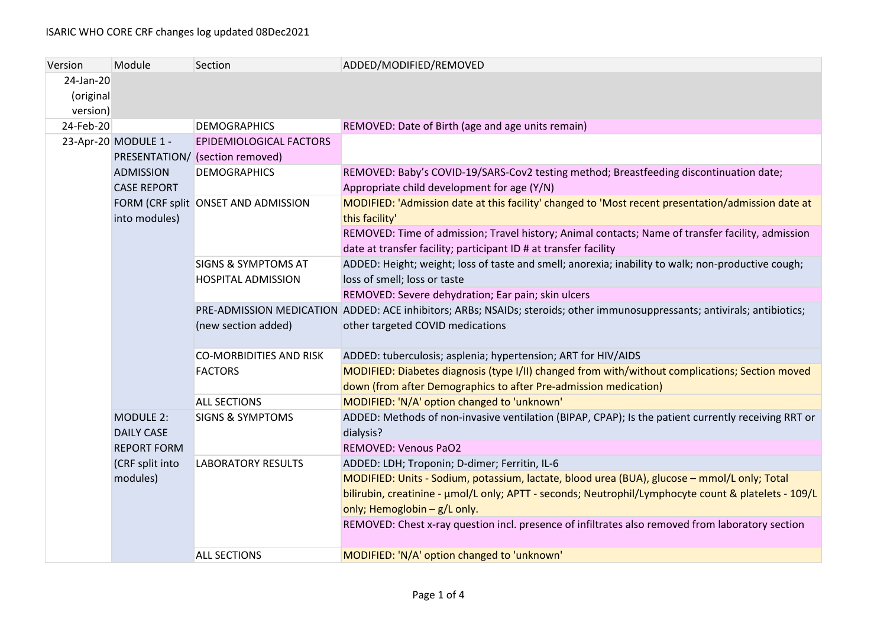| Version   | Module                                                      | Section                                          | ADDED/MODIFIED/REMOVED                                                                                                     |
|-----------|-------------------------------------------------------------|--------------------------------------------------|----------------------------------------------------------------------------------------------------------------------------|
| 24-Jan-20 |                                                             |                                                  |                                                                                                                            |
| (original |                                                             |                                                  |                                                                                                                            |
| version)  |                                                             |                                                  |                                                                                                                            |
| 24-Feb-20 |                                                             | <b>DEMOGRAPHICS</b>                              | REMOVED: Date of Birth (age and age units remain)                                                                          |
|           | 23-Apr-20 MODULE 1 -                                        | EPIDEMIOLOGICAL FACTORS                          |                                                                                                                            |
|           | <b>ADMISSION</b><br><b>CASE REPORT</b>                      | PRESENTATION/ (section removed)                  |                                                                                                                            |
|           |                                                             | <b>DEMOGRAPHICS</b>                              | REMOVED: Baby's COVID-19/SARS-Cov2 testing method; Breastfeeding discontinuation date;                                     |
|           |                                                             |                                                  | Appropriate child development for age (Y/N)                                                                                |
|           | into modules)                                               | FORM (CRF split ONSET AND ADMISSION              | MODIFIED: 'Admission date at this facility' changed to 'Most recent presentation/admission date at                         |
|           |                                                             |                                                  | this facility'                                                                                                             |
|           |                                                             |                                                  | REMOVED: Time of admission; Travel history; Animal contacts; Name of transfer facility, admission                          |
|           |                                                             |                                                  | date at transfer facility; participant ID # at transfer facility                                                           |
|           |                                                             | <b>SIGNS &amp; SYMPTOMS AT</b>                   | ADDED: Height; weight; loss of taste and smell; anorexia; inability to walk; non-productive cough;                         |
|           |                                                             | <b>HOSPITAL ADMISSION</b>                        | loss of smell; loss or taste                                                                                               |
|           |                                                             |                                                  | REMOVED: Severe dehydration; Ear pain; skin ulcers                                                                         |
|           |                                                             |                                                  | PRE-ADMISSION MEDICATION ADDED: ACE inhibitors; ARBs; NSAIDs; steroids; other immunosuppressants; antivirals; antibiotics; |
|           |                                                             | (new section added)                              | other targeted COVID medications                                                                                           |
|           |                                                             |                                                  |                                                                                                                            |
|           |                                                             | <b>CO-MORBIDITIES AND RISK</b><br><b>FACTORS</b> | ADDED: tuberculosis; asplenia; hypertension; ART for HIV/AIDS                                                              |
|           |                                                             |                                                  | MODIFIED: Diabetes diagnosis (type I/II) changed from with/without complications; Section moved                            |
|           |                                                             |                                                  | down (from after Demographics to after Pre-admission medication)                                                           |
|           |                                                             | <b>ALL SECTIONS</b>                              | MODIFIED: 'N/A' option changed to 'unknown'                                                                                |
|           | <b>MODULE 2:</b><br><b>DAILY CASE</b><br><b>REPORT FORM</b> | <b>SIGNS &amp; SYMPTOMS</b>                      | ADDED: Methods of non-invasive ventilation (BIPAP, CPAP); Is the patient currently receiving RRT or                        |
|           |                                                             |                                                  | dialysis?                                                                                                                  |
|           |                                                             |                                                  | <b>REMOVED: Venous PaO2</b>                                                                                                |
|           | (CRF split into<br>modules)                                 | <b>LABORATORY RESULTS</b>                        | ADDED: LDH; Troponin; D-dimer; Ferritin, IL-6                                                                              |
|           |                                                             |                                                  | MODIFIED: Units - Sodium, potassium, lactate, blood urea (BUA), glucose - mmol/L only; Total                               |
|           |                                                             |                                                  | bilirubin, creatinine - µmol/L only; APTT - seconds; Neutrophil/Lymphocyte count & platelets - 109/L                       |
|           |                                                             |                                                  | only; Hemoglobin - g/L only.                                                                                               |
|           |                                                             |                                                  | REMOVED: Chest x-ray question incl. presence of infiltrates also removed from laboratory section                           |
|           |                                                             | <b>ALL SECTIONS</b>                              | MODIFIED: 'N/A' option changed to 'unknown'                                                                                |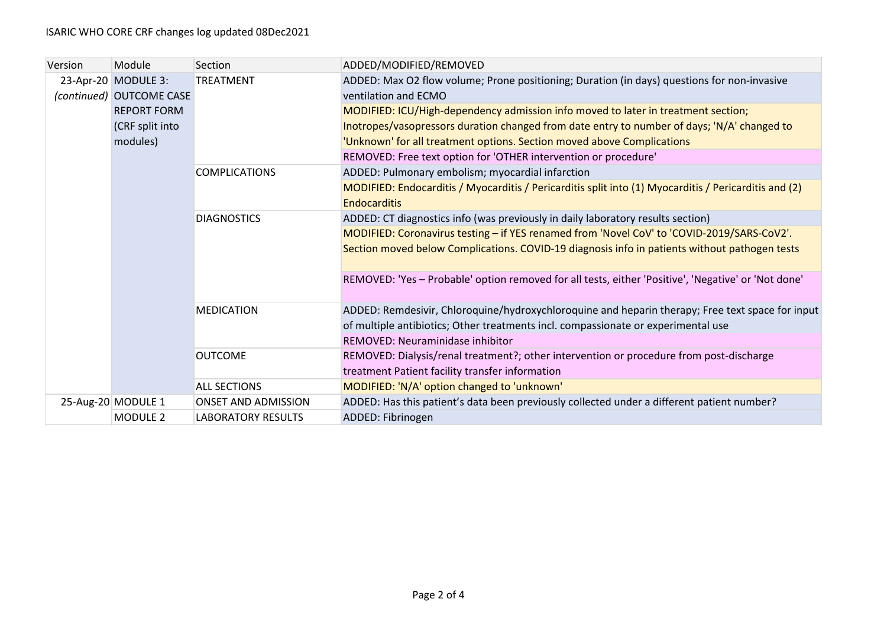| Version | Module                   | Section                    | ADDED/MODIFIED/REMOVED                                                                                |
|---------|--------------------------|----------------------------|-------------------------------------------------------------------------------------------------------|
|         | 23-Apr-20 MODULE 3:      | <b>TREATMENT</b>           | ADDED: Max O2 flow volume; Prone positioning; Duration (in days) questions for non-invasive           |
|         | (continued) OUTCOME CASE |                            | ventilation and ECMO                                                                                  |
|         | <b>REPORT FORM</b>       |                            | MODIFIED: ICU/High-dependency admission info moved to later in treatment section;                     |
|         | (CRF split into          |                            | Inotropes/vasopressors duration changed from date entry to number of days; 'N/A' changed to           |
|         | modules)                 |                            | 'Unknown' for all treatment options. Section moved above Complications                                |
|         |                          |                            | REMOVED: Free text option for 'OTHER intervention or procedure'                                       |
|         |                          | <b>COMPLICATIONS</b>       | ADDED: Pulmonary embolism; myocardial infarction                                                      |
|         |                          |                            | MODIFIED: Endocarditis / Myocarditis / Pericarditis split into (1) Myocarditis / Pericarditis and (2) |
|         |                          |                            | <b>Endocarditis</b>                                                                                   |
|         |                          | <b>DIAGNOSTICS</b>         | ADDED: CT diagnostics info (was previously in daily laboratory results section)                       |
|         |                          |                            | MODIFIED: Coronavirus testing - if YES renamed from 'Novel CoV' to 'COVID-2019/SARS-CoV2'.            |
|         |                          |                            | Section moved below Complications. COVID-19 diagnosis info in patients without pathogen tests         |
|         |                          |                            |                                                                                                       |
|         |                          |                            | REMOVED: 'Yes - Probable' option removed for all tests, either 'Positive', 'Negative' or 'Not done'   |
|         |                          | <b>MEDICATION</b>          | ADDED: Remdesivir, Chloroquine/hydroxychloroquine and heparin therapy; Free text space for input      |
|         |                          |                            | of multiple antibiotics; Other treatments incl. compassionate or experimental use                     |
|         |                          |                            | REMOVED: Neuraminidase inhibitor                                                                      |
|         |                          | <b>OUTCOME</b>             | REMOVED: Dialysis/renal treatment?; other intervention or procedure from post-discharge               |
|         |                          |                            | treatment Patient facility transfer information                                                       |
|         |                          | <b>ALL SECTIONS</b>        | MODIFIED: 'N/A' option changed to 'unknown'                                                           |
|         | 25-Aug-20 MODULE 1       | <b>ONSET AND ADMISSION</b> | ADDED: Has this patient's data been previously collected under a different patient number?            |
|         | <b>MODULE 2</b>          | <b>LABORATORY RESULTS</b>  | ADDED: Fibrinogen                                                                                     |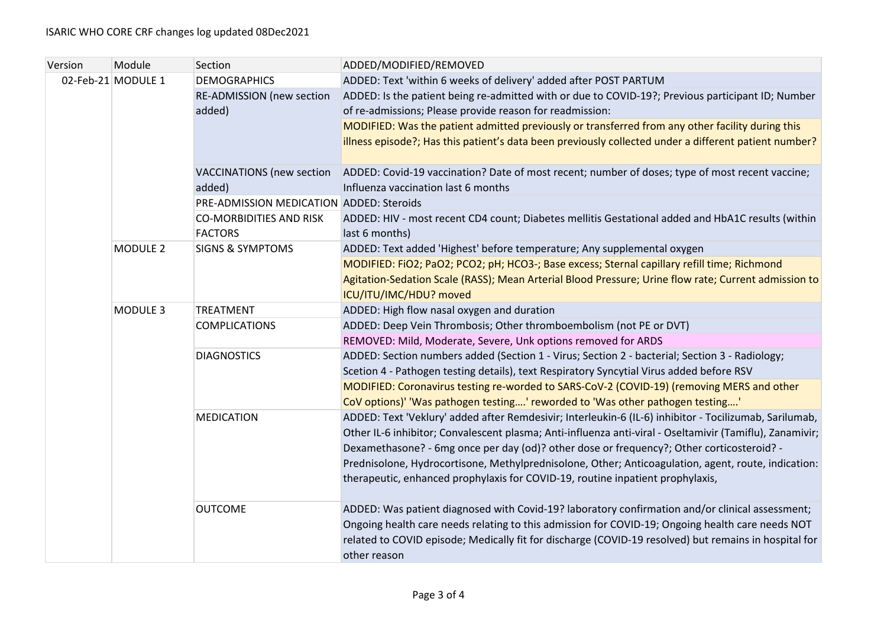| Version | Module             | Section                                          | ADDED/MODIFIED/REMOVED                                                                                              |
|---------|--------------------|--------------------------------------------------|---------------------------------------------------------------------------------------------------------------------|
|         | 02-Feb-21 MODULE 1 | <b>DEMOGRAPHICS</b>                              | ADDED: Text 'within 6 weeks of delivery' added after POST PARTUM                                                    |
|         |                    | <b>RE-ADMISSION (new section</b>                 | ADDED: Is the patient being re-admitted with or due to COVID-19?; Previous participant ID; Number                   |
|         |                    | added)                                           | of re-admissions; Please provide reason for readmission:                                                            |
|         |                    |                                                  | MODIFIED: Was the patient admitted previously or transferred from any other facility during this                    |
|         |                    |                                                  | illness episode?; Has this patient's data been previously collected under a different patient number?               |
|         |                    | <b>VACCINATIONS</b> (new section                 | ADDED: Covid-19 vaccination? Date of most recent; number of doses; type of most recent vaccine;                     |
|         |                    | added)                                           | Influenza vaccination last 6 months                                                                                 |
|         |                    | PRE-ADMISSION MEDICATION ADDED: Steroids         |                                                                                                                     |
|         |                    | <b>CO-MORBIDITIES AND RISK</b><br><b>FACTORS</b> | ADDED: HIV - most recent CD4 count; Diabetes mellitis Gestational added and HbA1C results (within<br>last 6 months) |
|         | <b>MODULE 2</b>    | <b>SIGNS &amp; SYMPTOMS</b>                      | ADDED: Text added 'Highest' before temperature; Any supplemental oxygen                                             |
|         |                    |                                                  | MODIFIED: FiO2; PaO2; PCO2; pH; HCO3-; Base excess; Sternal capillary refill time; Richmond                         |
|         |                    |                                                  | Agitation-Sedation Scale (RASS); Mean Arterial Blood Pressure; Urine flow rate; Current admission to                |
|         |                    |                                                  | ICU/ITU/IMC/HDU? moved                                                                                              |
|         | MODULE 3           | TREATMENT                                        | ADDED: High flow nasal oxygen and duration                                                                          |
|         |                    | <b>COMPLICATIONS</b>                             | ADDED: Deep Vein Thrombosis; Other thromboembolism (not PE or DVT)                                                  |
|         |                    |                                                  | REMOVED: Mild, Moderate, Severe, Unk options removed for ARDS                                                       |
|         |                    | <b>DIAGNOSTICS</b>                               | ADDED: Section numbers added (Section 1 - Virus; Section 2 - bacterial; Section 3 - Radiology;                      |
|         |                    |                                                  | Scetion 4 - Pathogen testing details), text Respiratory Syncytial Virus added before RSV                            |
|         |                    |                                                  | MODIFIED: Coronavirus testing re-worded to SARS-CoV-2 (COVID-19) (removing MERS and other                           |
|         |                    |                                                  | CoV options)' 'Was pathogen testing' reworded to 'Was other pathogen testing'                                       |
|         |                    | <b>MEDICATION</b>                                | ADDED: Text 'Veklury' added after Remdesivir; Interleukin-6 (IL-6) inhibitor - Tocilizumab, Sarilumab,              |
|         |                    |                                                  | Other IL-6 inhibitor; Convalescent plasma; Anti-influenza anti-viral - Oseltamivir (Tamiflu), Zanamivir;            |
|         |                    |                                                  | Dexamethasone? - 6mg once per day (od)? other dose or frequency?; Other corticosteroid? -                           |
|         |                    |                                                  | Prednisolone, Hydrocortisone, Methylprednisolone, Other; Anticoagulation, agent, route, indication:                 |
|         |                    |                                                  | therapeutic, enhanced prophylaxis for COVID-19, routine inpatient prophylaxis,                                      |
|         |                    | <b>OUTCOME</b>                                   | ADDED: Was patient diagnosed with Covid-19? laboratory confirmation and/or clinical assessment;                     |
|         |                    |                                                  | Ongoing health care needs relating to this admission for COVID-19; Ongoing health care needs NOT                    |
|         |                    |                                                  | related to COVID episode; Medically fit for discharge (COVID-19 resolved) but remains in hospital for               |
|         |                    |                                                  | other reason                                                                                                        |